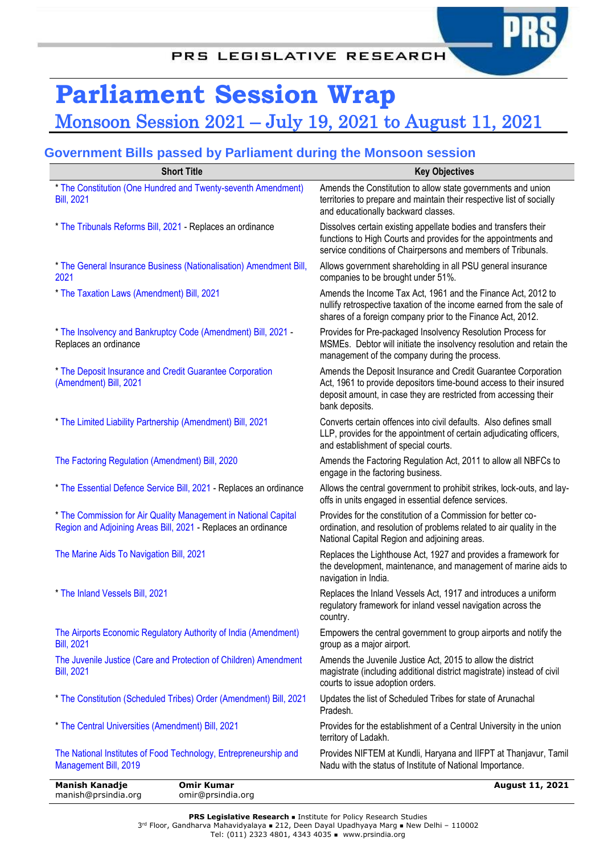# **Parliament Session Wrap** Monsoon Session 2021 – July 19, 2021 to August 11, 2021

## **Government Bills passed by Parliament during the Monsoon session**

| <b>Short Title</b>                                                                                                               | <b>Key Objectives</b>                                                                                                                                                                                                     |
|----------------------------------------------------------------------------------------------------------------------------------|---------------------------------------------------------------------------------------------------------------------------------------------------------------------------------------------------------------------------|
| * The Constitution (One Hundred and Twenty-seventh Amendment)<br><b>Bill</b> , 2021                                              | Amends the Constitution to allow state governments and union<br>territories to prepare and maintain their respective list of socially<br>and educationally backward classes.                                              |
| * The Tribunals Reforms Bill, 2021 - Replaces an ordinance                                                                       | Dissolves certain existing appellate bodies and transfers their<br>functions to High Courts and provides for the appointments and<br>service conditions of Chairpersons and members of Tribunals.                         |
| * The General Insurance Business (Nationalisation) Amendment Bill,<br>2021                                                       | Allows government shareholding in all PSU general insurance<br>companies to be brought under 51%.                                                                                                                         |
| * The Taxation Laws (Amendment) Bill, 2021                                                                                       | Amends the Income Tax Act, 1961 and the Finance Act, 2012 to<br>nullify retrospective taxation of the income earned from the sale of<br>shares of a foreign company prior to the Finance Act, 2012.                       |
| * The Insolvency and Bankruptcy Code (Amendment) Bill, 2021 -<br>Replaces an ordinance                                           | Provides for Pre-packaged Insolvency Resolution Process for<br>MSMEs. Debtor will initiate the insolvency resolution and retain the<br>management of the company during the process.                                      |
| * The Deposit Insurance and Credit Guarantee Corporation<br>(Amendment) Bill, 2021                                               | Amends the Deposit Insurance and Credit Guarantee Corporation<br>Act, 1961 to provide depositors time-bound access to their insured<br>deposit amount, in case they are restricted from accessing their<br>bank deposits. |
| * The Limited Liability Partnership (Amendment) Bill, 2021                                                                       | Converts certain offences into civil defaults. Also defines small<br>LLP, provides for the appointment of certain adjudicating officers,<br>and establishment of special courts.                                          |
| The Factoring Regulation (Amendment) Bill, 2020                                                                                  | Amends the Factoring Regulation Act, 2011 to allow all NBFCs to<br>engage in the factoring business.                                                                                                                      |
| * The Essential Defence Service Bill, 2021 - Replaces an ordinance                                                               | Allows the central government to prohibit strikes, lock-outs, and lay-<br>offs in units engaged in essential defence services.                                                                                            |
| * The Commission for Air Quality Management in National Capital<br>Region and Adjoining Areas Bill, 2021 - Replaces an ordinance | Provides for the constitution of a Commission for better co-<br>ordination, and resolution of problems related to air quality in the<br>National Capital Region and adjoining areas.                                      |
| The Marine Aids To Navigation Bill, 2021                                                                                         | Replaces the Lighthouse Act, 1927 and provides a framework for<br>the development, maintenance, and management of marine aids to<br>navigation in India.                                                                  |
| * The Inland Vessels Bill, 2021                                                                                                  | Replaces the Inland Vessels Act, 1917 and introduces a uniform<br>regulatory framework for inland vessel navigation across the<br>country.                                                                                |
| The Airports Economic Regulatory Authority of India (Amendment)<br><b>Bill, 2021</b>                                             | Empowers the central government to group airports and notify the<br>group as a major airport.                                                                                                                             |
| The Juvenile Justice (Care and Protection of Children) Amendment<br><b>Bill</b> , 2021                                           | Amends the Juvenile Justice Act, 2015 to allow the district<br>magistrate (including additional district magistrate) instead of civil<br>courts to issue adoption orders.                                                 |
| * The Constitution (Scheduled Tribes) Order (Amendment) Bill, 2021                                                               | Updates the list of Scheduled Tribes for state of Arunachal<br>Pradesh.                                                                                                                                                   |
| * The Central Universities (Amendment) Bill, 2021                                                                                | Provides for the establishment of a Central University in the union<br>territory of Ladakh.                                                                                                                               |
| The National Institutes of Food Technology, Entrepreneurship and<br><b>Management Bill, 2019</b>                                 | Provides NIFTEM at Kundli, Haryana and IIFPT at Thanjavur, Tamil<br>Nadu with the status of Institute of National Importance.                                                                                             |
| <b>Manish Kanadje</b><br><b>Omir Kumar</b><br>manish@prsindia.org<br>omir@prsindia.org                                           | <b>August 11, 2021</b>                                                                                                                                                                                                    |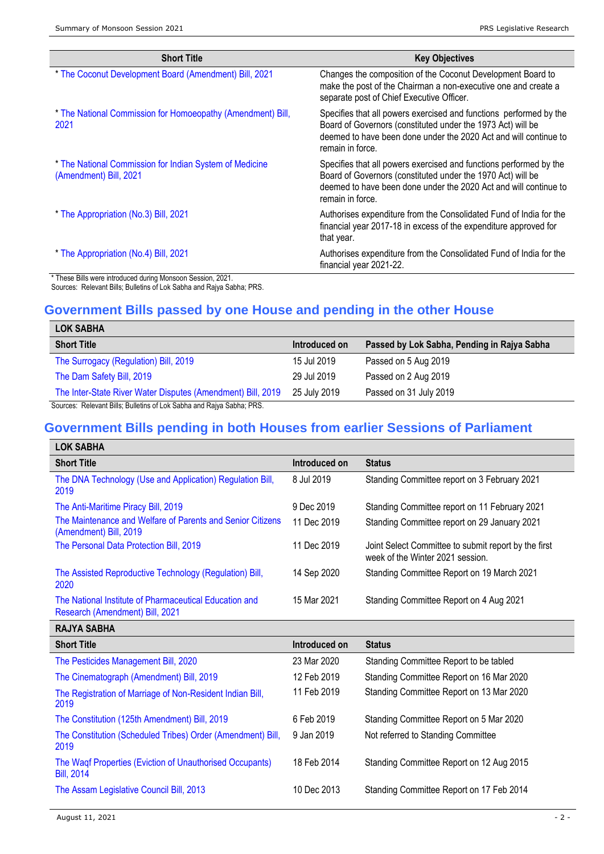| <b>Short Title</b>                                                                | <b>Key Objectives</b>                                                                                                                                                                                                     |
|-----------------------------------------------------------------------------------|---------------------------------------------------------------------------------------------------------------------------------------------------------------------------------------------------------------------------|
| * The Coconut Development Board (Amendment) Bill, 2021                            | Changes the composition of the Coconut Development Board to<br>make the post of the Chairman a non-executive one and create a<br>separate post of Chief Executive Officer.                                                |
| * The National Commission for Homoeopathy (Amendment) Bill,<br>2021               | Specifies that all powers exercised and functions performed by the<br>Board of Governors (constituted under the 1973 Act) will be<br>deemed to have been done under the 2020 Act and will continue to<br>remain in force. |
| * The National Commission for Indian System of Medicine<br>(Amendment) Bill, 2021 | Specifies that all powers exercised and functions performed by the<br>Board of Governors (constituted under the 1970 Act) will be<br>deemed to have been done under the 2020 Act and will continue to<br>remain in force. |
| * The Appropriation (No.3) Bill, 2021                                             | Authorises expenditure from the Consolidated Fund of India for the<br>financial year 2017-18 in excess of the expenditure approved for<br>that year.                                                                      |
| * The Appropriation (No.4) Bill, 2021                                             | Authorises expenditure from the Consolidated Fund of India for the<br>financial year 2021-22.                                                                                                                             |
| * These Bills were introduced during Monsoon Session, 2021.                       |                                                                                                                                                                                                                           |

Sources: Relevant Bills; Bulletins of Lok Sabha and Rajya Sabha; PRS.

## **Government Bills passed by one House and pending in the other House**

| <b>LOK SABHA</b>                                                      |               |                                             |
|-----------------------------------------------------------------------|---------------|---------------------------------------------|
| <b>Short Title</b>                                                    | Introduced on | Passed by Lok Sabha, Pending in Rajya Sabha |
| The Surrogacy (Regulation) Bill, 2019                                 | 15 Jul 2019   | Passed on 5 Aug 2019                        |
| The Dam Safety Bill, 2019                                             | 29 Jul 2019   | Passed on 2 Aug 2019                        |
| The Inter-State River Water Disputes (Amendment) Bill, 2019           | 25 July 2019  | Passed on 31 July 2019                      |
| Sources: Relevant Bills; Bulletins of Lok Sabha and Rajya Sabha; PRS. |               |                                             |

## **Government Bills pending in both Houses from earlier Sessions of Parliament**

| <b>LOK SABHA</b>                                                                          |               |                                                                                          |
|-------------------------------------------------------------------------------------------|---------------|------------------------------------------------------------------------------------------|
| <b>Short Title</b>                                                                        | Introduced on | <b>Status</b>                                                                            |
| The DNA Technology (Use and Application) Regulation Bill,<br>2019                         | 8 Jul 2019    | Standing Committee report on 3 February 2021                                             |
| The Anti-Maritime Piracy Bill, 2019                                                       | 9 Dec 2019    | Standing Committee report on 11 February 2021                                            |
| The Maintenance and Welfare of Parents and Senior Citizens<br>(Amendment) Bill, 2019      | 11 Dec 2019   | Standing Committee report on 29 January 2021                                             |
| The Personal Data Protection Bill, 2019                                                   | 11 Dec 2019   | Joint Select Committee to submit report by the first<br>week of the Winter 2021 session. |
| The Assisted Reproductive Technology (Regulation) Bill,<br>2020                           | 14 Sep 2020   | Standing Committee Report on 19 March 2021                                               |
| The National Institute of Pharmaceutical Education and<br>Research (Amendment) Bill, 2021 | 15 Mar 2021   | Standing Committee Report on 4 Aug 2021                                                  |
| <b>RAJYA SABHA</b>                                                                        |               |                                                                                          |
| <b>Short Title</b>                                                                        | Introduced on | <b>Status</b>                                                                            |
| The Pesticides Management Bill, 2020                                                      | 23 Mar 2020   | Standing Committee Report to be tabled                                                   |
| The Cinematograph (Amendment) Bill, 2019                                                  | 12 Feb 2019   | Standing Committee Report on 16 Mar 2020                                                 |
| The Registration of Marriage of Non-Resident Indian Bill,<br>2019                         | 11 Feb 2019   | Standing Committee Report on 13 Mar 2020                                                 |
| The Constitution (125th Amendment) Bill, 2019                                             | 6 Feb 2019    | Standing Committee Report on 5 Mar 2020                                                  |
| The Constitution (Scheduled Tribes) Order (Amendment) Bill,<br>2019                       | 9 Jan 2019    | Not referred to Standing Committee                                                       |
| The Waqf Properties (Eviction of Unauthorised Occupants)<br><b>Bill, 2014</b>             | 18 Feb 2014   | Standing Committee Report on 12 Aug 2015                                                 |
| The Assam Legislative Council Bill, 2013                                                  | 10 Dec 2013   | Standing Committee Report on 17 Feb 2014                                                 |